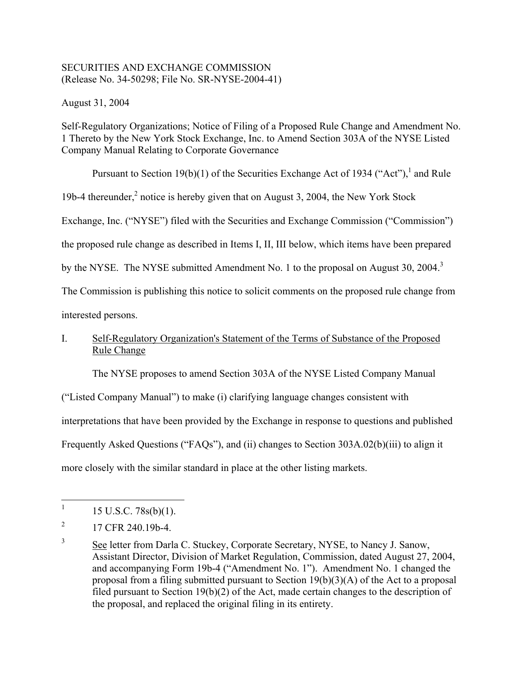### SECURITIES AND EXCHANGE COMMISSION (Release No. 34-50298; File No. SR-NYSE-2004-41)

August 31, 2004

Self-Regulatory Organizations; Notice of Filing of a Proposed Rule Change and Amendment No. 1 Thereto by the New York Stock Exchange, Inc. to Amend Section 303A of the NYSE Listed Company Manual Relating to Corporate Governance

Pursuant to Section [1](#page-0-0)9(b)(1) of the Securities Exchange Act of 1934 ("Act"), and Rule

19b-4 thereunder,<sup>[2](#page-0-1)</sup> notice is hereby given that on August 3, 2004, the New York Stock

Exchange, Inc. ("NYSE") filed with the Securities and Exchange Commission ("Commission")

the proposed rule change as described in Items I, II, III below, which items have been prepared

by the NYSE. The NYSE submitted Amendment No. 1 to the proposal on August 30, 2004.<sup>3</sup>

The Commission is publishing this notice to solicit comments on the proposed rule change from

interested persons.

# I. Self-Regulatory Organization's Statement of the Terms of Substance of the Proposed Rule Change

The NYSE proposes to amend Section 303A of the NYSE Listed Company Manual

("Listed Company Manual") to make (i) clarifying language changes consistent with

interpretations that have been provided by the Exchange in response to questions and published

Frequently Asked Questions ("FAQs"), and (ii) changes to Section 303A.02(b)(iii) to align it

more closely with the similar standard in place at the other listing markets.

<span id="page-0-0"></span> $\frac{1}{1}$ 15 U.S.C. 78s(b)(1).

<span id="page-0-1"></span><sup>2</sup> 17 CFR 240.19b-4.

<span id="page-0-2"></span><sup>3</sup> See letter from Darla C. Stuckey, Corporate Secretary, NYSE, to Nancy J. Sanow, Assistant Director, Division of Market Regulation, Commission, dated August 27, 2004, and accompanying Form 19b-4 ("Amendment No. 1"). Amendment No. 1 changed the proposal from a filing submitted pursuant to Section 19(b)(3)(A) of the Act to a proposal filed pursuant to Section 19(b)(2) of the Act, made certain changes to the description of the proposal, and replaced the original filing in its entirety.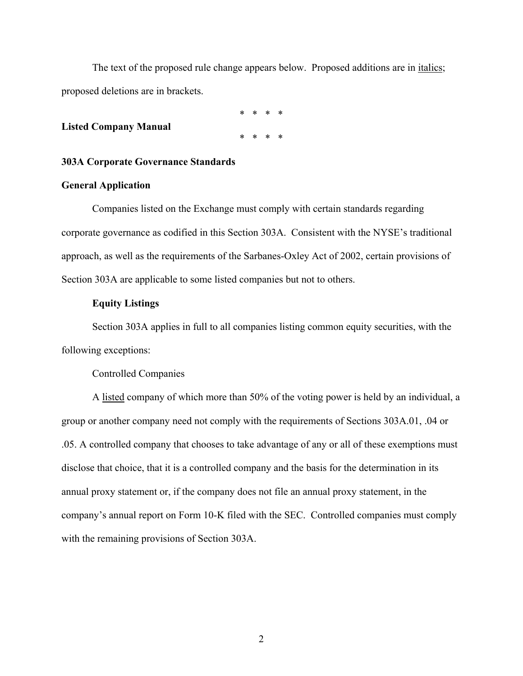The text of the proposed rule change appears below. Proposed additions are in *italics*; proposed deletions are in brackets.

**Listed Company Manual** 

\* \* \* \* \* \* \* \*

#### **303A Corporate Governance Standards**

#### **General Application**

Companies listed on the Exchange must comply with certain standards regarding corporate governance as codified in this Section 303A. Consistent with the NYSE's traditional approach, as well as the requirements of the Sarbanes-Oxley Act of 2002, certain provisions of Section 303A are applicable to some listed companies but not to others.

#### **Equity Listings**

Section 303A applies in full to all companies listing common equity securities, with the following exceptions:

#### Controlled Companies

A listed company of which more than 50% of the voting power is held by an individual, a group or another company need not comply with the requirements of Sections 303A.01, .04 or .05. A controlled company that chooses to take advantage of any or all of these exemptions must disclose that choice, that it is a controlled company and the basis for the determination in its annual proxy statement or, if the company does not file an annual proxy statement, in the company's annual report on Form 10-K filed with the SEC. Controlled companies must comply with the remaining provisions of Section 303A.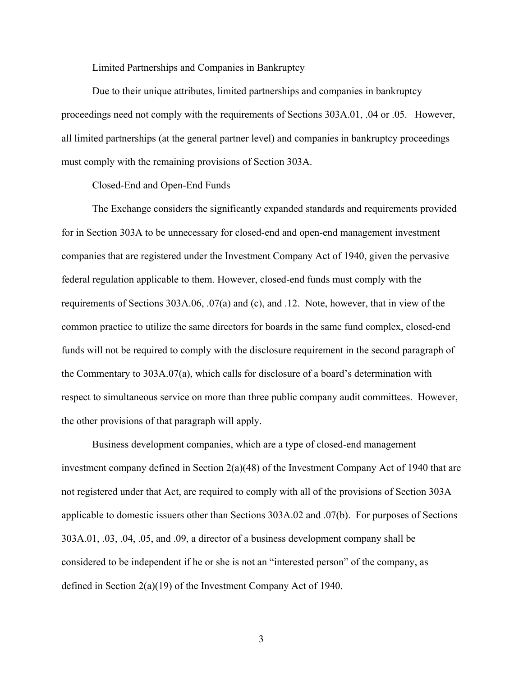Limited Partnerships and Companies in Bankruptcy

Due to their unique attributes, limited partnerships and companies in bankruptcy proceedings need not comply with the requirements of Sections 303A.01, .04 or .05. However, all limited partnerships (at the general partner level) and companies in bankruptcy proceedings must comply with the remaining provisions of Section 303A.

#### Closed-End and Open-End Funds

The Exchange considers the significantly expanded standards and requirements provided for in Section 303A to be unnecessary for closed-end and open-end management investment companies that are registered under the Investment Company Act of 1940, given the pervasive federal regulation applicable to them. However, closed-end funds must comply with the requirements of Sections 303A.06, .07(a) and (c), and .12. Note, however, that in view of the common practice to utilize the same directors for boards in the same fund complex, closed-end funds will not be required to comply with the disclosure requirement in the second paragraph of the Commentary to 303A.07(a), which calls for disclosure of a board's determination with respect to simultaneous service on more than three public company audit committees. However, the other provisions of that paragraph will apply.

Business development companies, which are a type of closed-end management investment company defined in Section 2(a)(48) of the Investment Company Act of 1940 that are not registered under that Act, are required to comply with all of the provisions of Section 303A applicable to domestic issuers other than Sections 303A.02 and .07(b). For purposes of Sections 303A.01, .03, .04, .05, and .09, a director of a business development company shall be considered to be independent if he or she is not an "interested person" of the company, as defined in Section 2(a)(19) of the Investment Company Act of 1940.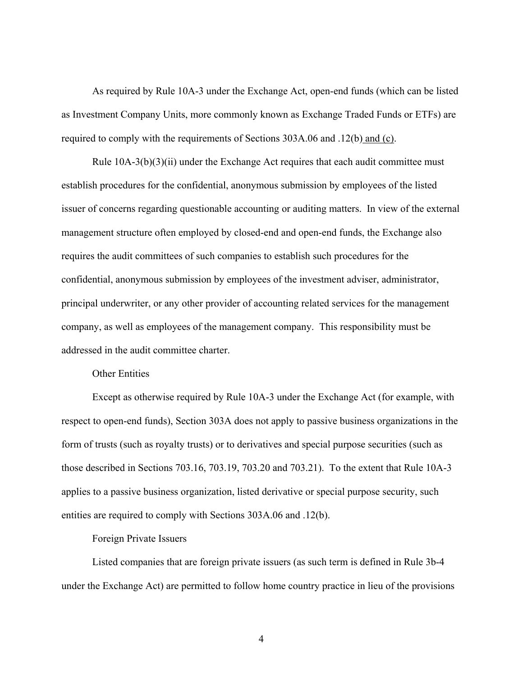As required by Rule 10A-3 under the Exchange Act, open-end funds (which can be listed as Investment Company Units, more commonly known as Exchange Traded Funds or ETFs) are required to comply with the requirements of Sections 303A.06 and .12(b) and (c).

Rule  $10A-3(b)(3)(ii)$  under the Exchange Act requires that each audit committee must establish procedures for the confidential, anonymous submission by employees of the listed issuer of concerns regarding questionable accounting or auditing matters. In view of the external management structure often employed by closed-end and open-end funds, the Exchange also requires the audit committees of such companies to establish such procedures for the confidential, anonymous submission by employees of the investment adviser, administrator, principal underwriter, or any other provider of accounting related services for the management company, as well as employees of the management company. This responsibility must be addressed in the audit committee charter.

#### Other Entities

Except as otherwise required by Rule 10A-3 under the Exchange Act (for example, with respect to open-end funds), Section 303A does not apply to passive business organizations in the form of trusts (such as royalty trusts) or to derivatives and special purpose securities (such as those described in Sections 703.16, 703.19, 703.20 and 703.21). To the extent that Rule 10A-3 applies to a passive business organization, listed derivative or special purpose security, such entities are required to comply with Sections 303A.06 and .12(b).

#### Foreign Private Issuers

Listed companies that are foreign private issuers (as such term is defined in Rule 3b-4 under the Exchange Act) are permitted to follow home country practice in lieu of the provisions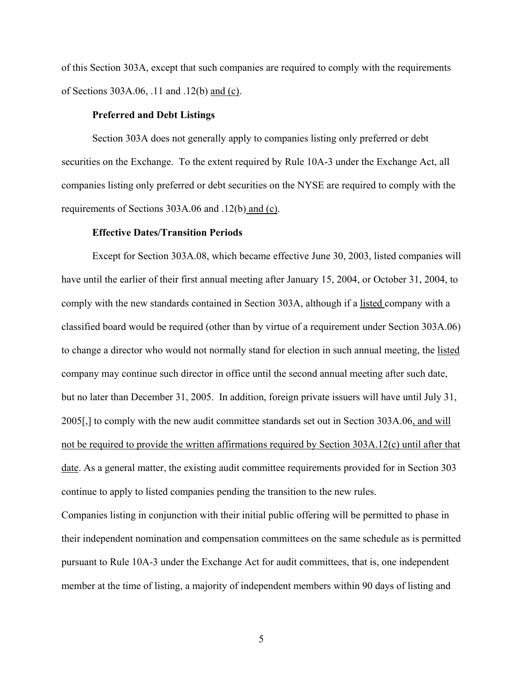of this Section 303A, except that such companies are required to comply with the requirements of Sections 303A.06, .11 and .12(b) and (c).

#### **Preferred and Debt Listings**

Section 303A does not generally apply to companies listing only preferred or debt securities on the Exchange. To the extent required by Rule 10A-3 under the Exchange Act, all companies listing only preferred or debt securities on the NYSE are required to comply with the requirements of Sections 303A.06 and .12(b) and (c).

#### **Effective Dates/Transition Periods**

Except for Section 303A.08, which became effective June 30, 2003, listed companies will have until the earlier of their first annual meeting after January 15, 2004, or October 31, 2004, to comply with the new standards contained in Section 303A, although if a listed company with a classified board would be required (other than by virtue of a requirement under Section 303A.06) to change a director who would not normally stand for election in such annual meeting, the listed company may continue such director in office until the second annual meeting after such date, but no later than December 31, 2005. In addition, foreign private issuers will have until July 31, 2005[,] to comply with the new audit committee standards set out in Section 303A.06, and will not be required to provide the written affirmations required by Section 303A.12(c) until after that date. As a general matter, the existing audit committee requirements provided for in Section 303 continue to apply to listed companies pending the transition to the new rules.

Companies listing in conjunction with their initial public offering will be permitted to phase in their independent nomination and compensation committees on the same schedule as is permitted pursuant to Rule 10A-3 under the Exchange Act for audit committees, that is, one independent member at the time of listing, a majority of independent members within 90 days of listing and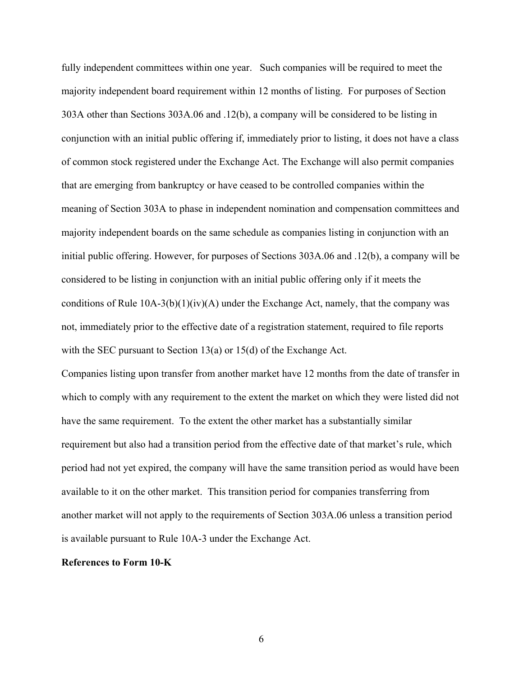fully independent committees within one year. Such companies will be required to meet the majority independent board requirement within 12 months of listing. For purposes of Section 303A other than Sections 303A.06 and .12(b), a company will be considered to be listing in conjunction with an initial public offering if, immediately prior to listing, it does not have a class of common stock registered under the Exchange Act. The Exchange will also permit companies that are emerging from bankruptcy or have ceased to be controlled companies within the meaning of Section 303A to phase in independent nomination and compensation committees and majority independent boards on the same schedule as companies listing in conjunction with an initial public offering. However, for purposes of Sections 303A.06 and .12(b), a company will be considered to be listing in conjunction with an initial public offering only if it meets the conditions of Rule  $10A-3(b)(1)(iv)(A)$  under the Exchange Act, namely, that the company was not, immediately prior to the effective date of a registration statement, required to file reports with the SEC pursuant to Section 13(a) or 15(d) of the Exchange Act.

Companies listing upon transfer from another market have 12 months from the date of transfer in which to comply with any requirement to the extent the market on which they were listed did not have the same requirement. To the extent the other market has a substantially similar requirement but also had a transition period from the effective date of that market's rule, which period had not yet expired, the company will have the same transition period as would have been available to it on the other market. This transition period for companies transferring from another market will not apply to the requirements of Section 303A.06 unless a transition period is available pursuant to Rule 10A-3 under the Exchange Act.

#### **References to Form 10-K**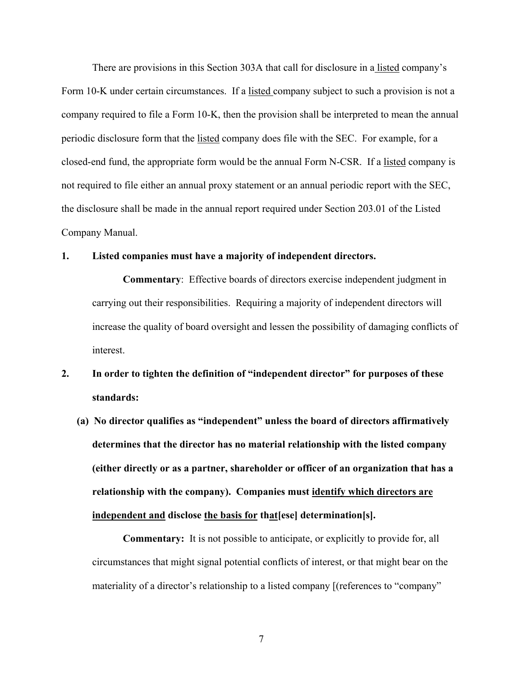There are provisions in this Section 303A that call for disclosure in a listed company's Form 10-K under certain circumstances. If a listed company subject to such a provision is not a company required to file a Form 10-K, then the provision shall be interpreted to mean the annual periodic disclosure form that the listed company does file with the SEC. For example, for a closed-end fund, the appropriate form would be the annual Form N-CSR. If a listed company is not required to file either an annual proxy statement or an annual periodic report with the SEC, the disclosure shall be made in the annual report required under Section 203.01 of the Listed Company Manual.

#### **1. Listed companies must have a majority of independent directors.**

 **Commentary**: Effective boards of directors exercise independent judgment in carrying out their responsibilities. Requiring a majority of independent directors will increase the quality of board oversight and lessen the possibility of damaging conflicts of interest.

- **2. In order to tighten the definition of "independent director" for purposes of these standards:** 
	- **(a) No director qualifies as "independent" unless the board of directors affirmatively determines that the director has no material relationship with the listed company (either directly or as a partner, shareholder or officer of an organization that has a relationship with the company). Companies must identify which directors are independent and disclose the basis for that[ese] determination[s].**

 **Commentary:** It is not possible to anticipate, or explicitly to provide for, all circumstances that might signal potential conflicts of interest, or that might bear on the materiality of a director's relationship to a listed company [(references to "company"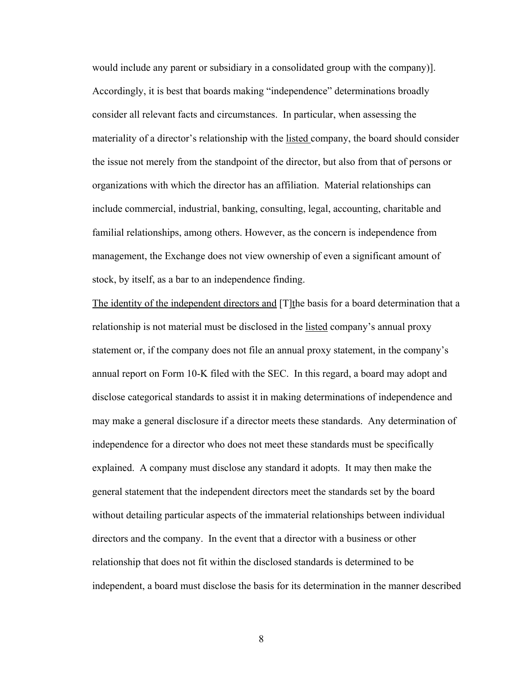would include any parent or subsidiary in a consolidated group with the company)]. Accordingly, it is best that boards making "independence" determinations broadly consider all relevant facts and circumstances. In particular, when assessing the materiality of a director's relationship with the listed company, the board should consider the issue not merely from the standpoint of the director, but also from that of persons or organizations with which the director has an affiliation. Material relationships can include commercial, industrial, banking, consulting, legal, accounting, charitable and familial relationships, among others. However, as the concern is independence from management, the Exchange does not view ownership of even a significant amount of stock, by itself, as a bar to an independence finding.

The identity of the independent directors and [T]the basis for a board determination that a relationship is not material must be disclosed in the listed company's annual proxy statement or, if the company does not file an annual proxy statement, in the company's annual report on Form 10-K filed with the SEC. In this regard, a board may adopt and disclose categorical standards to assist it in making determinations of independence and may make a general disclosure if a director meets these standards. Any determination of independence for a director who does not meet these standards must be specifically explained. A company must disclose any standard it adopts. It may then make the general statement that the independent directors meet the standards set by the board without detailing particular aspects of the immaterial relationships between individual directors and the company. In the event that a director with a business or other relationship that does not fit within the disclosed standards is determined to be independent, a board must disclose the basis for its determination in the manner described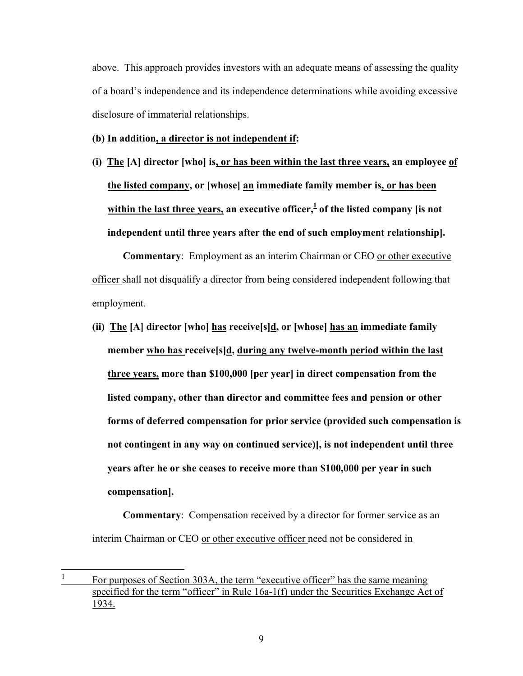above. This approach provides investors with an adequate means of assessing the quality of a board's independence and its independence determinations while avoiding excessive disclosure of immaterial relationships.

#### **(b) In addition, a director is not independent if:**

**(i) The [A] director [who] is, or has been within the last three years, an employee of the listed company, or [whose] an immediate family member is, or has been**  within the last three years, an executive officer,<sup>1</sup> of the listed company [is not **independent until three years after the end of such employment relationship].** 

 **Commentary**: Employment as an interim Chairman or CEO or other executive officer shall not disqualify a director from being considered independent following that employment.

**(ii) The [A] director [who] has receive[s]d, or [whose] has an immediate family member who has receive[s]d, during any twelve-month period within the last three years, more than \$100,000 [per year] in direct compensation from the listed company, other than director and committee fees and pension or other forms of deferred compensation for prior service (provided such compensation is not contingent in any way on continued service)[, is not independent until three years after he or she ceases to receive more than \$100,000 per year in such compensation].** 

**Commentary**: Compensation received by a director for former service as an interim Chairman or CEO or other executive officer need not be considered in

<span id="page-8-0"></span> $\frac{1}{1}$  For purposes of Section 303A, the term "executive officer" has the same meaning specified for the term "officer" in Rule 16a-1(f) under the Securities Exchange Act of 1934.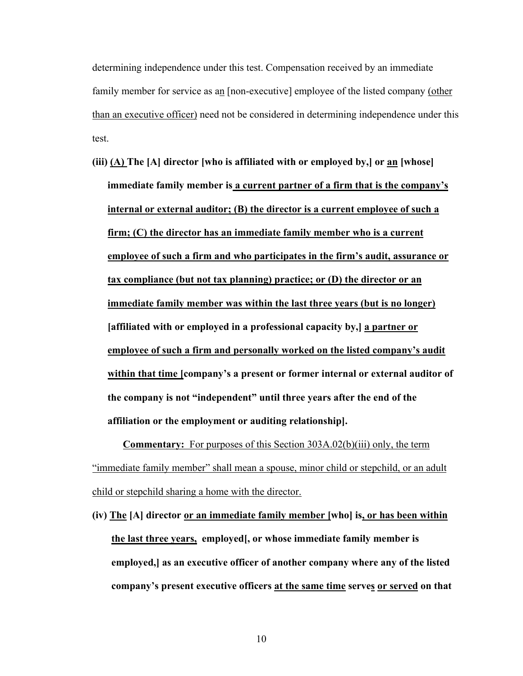determining independence under this test. Compensation received by an immediate family member for service as an [non-executive] employee of the listed company (other than an executive officer) need not be considered in determining independence under this test.

**(iii) (A) The [A] director [who is affiliated with or employed by,] or an [whose] immediate family member is a current partner of a firm that is the company's internal or external auditor; (B) the director is a current employee of such a firm; (C) the director has an immediate family member who is a current employee of such a firm and who participates in the firm's audit, assurance or tax compliance (but not tax planning) practice; or (D) the director or an immediate family member was within the last three years (but is no longer) [affiliated with or employed in a professional capacity by,] a partner or employee of such a firm and personally worked on the listed company's audit within that time [company's a present or former internal or external auditor of the company is not "independent" until three years after the end of the affiliation or the employment or auditing relationship].** 

**Commentary:**For purposes of this Section 303A.02(b)(iii) only, the term "immediate family member" shall mean a spouse, minor child or stepchild, or an adult child or stepchild sharing a home with the director.

**(iv) The [A] director or an immediate family member [who] is, or has been within the last three years, employed[, or whose immediate family member is employed,] as an executive officer of another company where any of the listed company's present executive officers at the same time serves or served on that**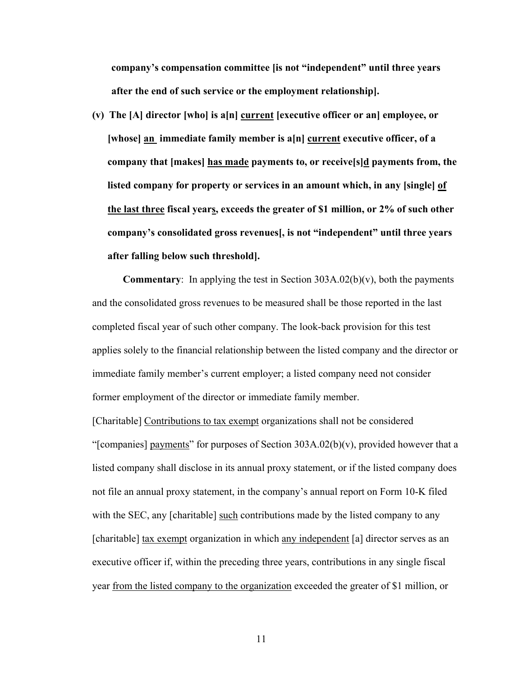**company's compensation committee [is not "independent" until three years after the end of such service or the employment relationship].** 

**(v) The [A] director [who] is a[n] current [executive officer or an] employee, or [whose] an immediate family member is a[n] current executive officer, of a company that [makes] has made payments to, or receive[s]d payments from, the listed company for property or services in an amount which, in any [single] of the last three fiscal years, exceeds the greater of \$1 million, or 2% of such other company's consolidated gross revenues[, is not "independent" until three years after falling below such threshold].**

**Commentary:** In applying the test in Section  $303A.02(b)(v)$ , both the payments and the consolidated gross revenues to be measured shall be those reported in the last completed fiscal year of such other company. The look-back provision for this test applies solely to the financial relationship between the listed company and the director or immediate family member's current employer; a listed company need not consider former employment of the director or immediate family member.

[Charitable] Contributions to tax exempt organizations shall not be considered "[companies] payments" for purposes of Section  $303A.02(b)(v)$ , provided however that a listed company shall disclose in its annual proxy statement, or if the listed company does not file an annual proxy statement, in the company's annual report on Form 10-K filed with the SEC, any [charitable] such contributions made by the listed company to any [charitable] tax exempt organization in which any independent [a] director serves as an executive officer if, within the preceding three years, contributions in any single fiscal year from the listed company to the organization exceeded the greater of \$1 million, or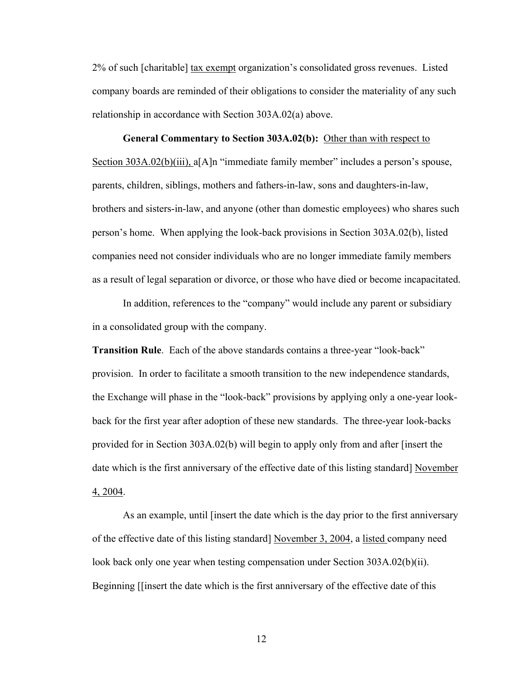2% of such [charitable] tax exempt organization's consolidated gross revenues. Listed company boards are reminded of their obligations to consider the materiality of any such relationship in accordance with Section 303A.02(a) above.

**General Commentary to Section 303A.02(b):** Other than with respect to Section 303A.02(b)(iii), a[A]n "immediate family member" includes a person's spouse, parents, children, siblings, mothers and fathers-in-law, sons and daughters-in-law, brothers and sisters-in-law, and anyone (other than domestic employees) who shares such person's home. When applying the look-back provisions in Section 303A.02(b), listed companies need not consider individuals who are no longer immediate family members as a result of legal separation or divorce, or those who have died or become incapacitated.

In addition, references to the "company" would include any parent or subsidiary in a consolidated group with the company.

**Transition Rule**. Each of the above standards contains a three-year "look-back" provision. In order to facilitate a smooth transition to the new independence standards, the Exchange will phase in the "look-back" provisions by applying only a one-year lookback for the first year after adoption of these new standards. The three-year look-backs provided for in Section 303A.02(b) will begin to apply only from and after [insert the date which is the first anniversary of the effective date of this listing standard] November 4, 2004.

As an example, until [insert the date which is the day prior to the first anniversary of the effective date of this listing standard] November 3, 2004, a listed company need look back only one year when testing compensation under Section 303A.02(b)(ii). Beginning [[insert the date which is the first anniversary of the effective date of this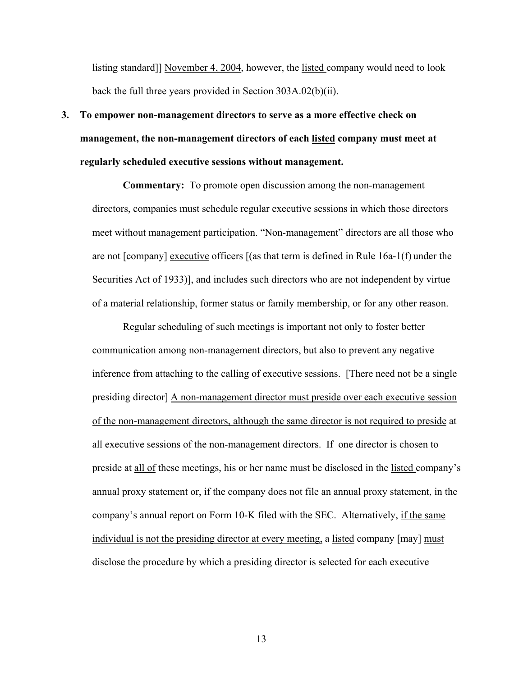listing standard]] November 4, 2004, however, the listed company would need to look back the full three years provided in Section 303A.02(b)(ii).

# **3. To empower non-management directors to serve as a more effective check on management, the non-management directors of each listed company must meet at regularly scheduled executive sessions without management.**

 **Commentary:** To promote open discussion among the non-management directors, companies must schedule regular executive sessions in which those directors meet without management participation. "Non-management" directors are all those who are not [company] executive officers [(as that term is defined in Rule 16a-1(f) under the Securities Act of 1933)], and includes such directors who are not independent by virtue of a material relationship, former status or family membership, or for any other reason.

Regular scheduling of such meetings is important not only to foster better communication among non-management directors, but also to prevent any negative inference from attaching to the calling of executive sessions. [There need not be a single presiding director] A non-management director must preside over each executive session of the non-management directors, although the same director is not required to preside at all executive sessions of the non-management directors. If one director is chosen to preside at all of these meetings, his or her name must be disclosed in the listed company's annual proxy statement or, if the company does not file an annual proxy statement, in the company's annual report on Form 10-K filed with the SEC. Alternatively, if the same individual is not the presiding director at every meeting, a listed company [may] must disclose the procedure by which a presiding director is selected for each executive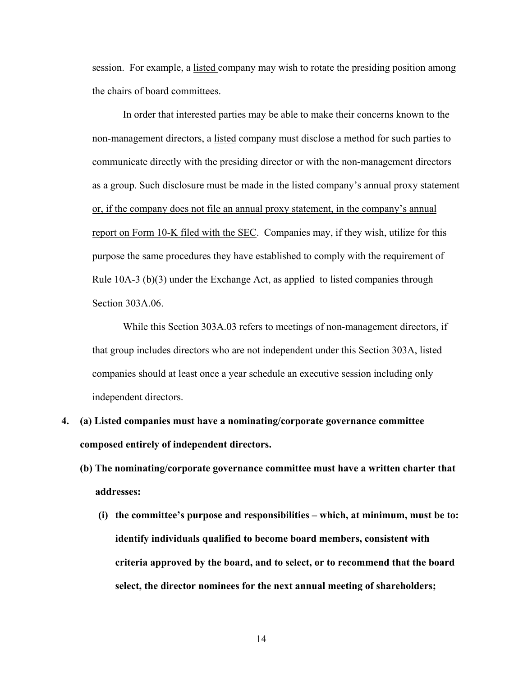session. For example, a listed company may wish to rotate the presiding position among the chairs of board committees.

In order that interested parties may be able to make their concerns known to the non-management directors, a listed company must disclose a method for such parties to communicate directly with the presiding director or with the non-management directors as a group. Such disclosure must be made in the listed company's annual proxy statement or, if the company does not file an annual proxy statement, in the company's annual report on Form 10-K filed with the SEC. Companies may, if they wish, utilize for this purpose the same procedures they have established to comply with the requirement of Rule 10A-3 (b)(3) under the Exchange Act, as applied to listed companies through Section 303A.06.

While this Section 303A.03 refers to meetings of non-management directors, if that group includes directors who are not independent under this Section 303A, listed companies should at least once a year schedule an executive session including only independent directors.

- **4. (a) Listed companies must have a nominating/corporate governance committee composed entirely of independent directors.** 
	- **(b) The nominating/corporate governance committee must have a written charter that addresses:** 
		- **(i) the committee's purpose and responsibilities which, at minimum, must be to: identify individuals qualified to become board members, consistent with criteria approved by the board, and to select, or to recommend that the board select, the director nominees for the next annual meeting of shareholders;**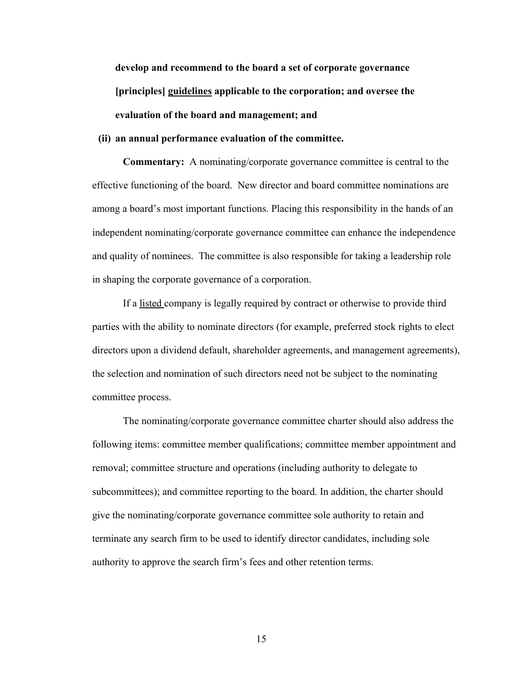**develop and recommend to the board a set of corporate governance [principles] guidelines applicable to the corporation; and oversee the evaluation of the board and management; and** 

#### **(ii) an annual performance evaluation of the committee.**

 **Commentary:** A nominating/corporate governance committee is central to the effective functioning of the board. New director and board committee nominations are among a board's most important functions. Placing this responsibility in the hands of an independent nominating/corporate governance committee can enhance the independence and quality of nominees. The committee is also responsible for taking a leadership role in shaping the corporate governance of a corporation.

If a listed company is legally required by contract or otherwise to provide third parties with the ability to nominate directors (for example, preferred stock rights to elect directors upon a dividend default, shareholder agreements, and management agreements), the selection and nomination of such directors need not be subject to the nominating committee process.

The nominating/corporate governance committee charter should also address the following items: committee member qualifications; committee member appointment and removal; committee structure and operations (including authority to delegate to subcommittees); and committee reporting to the board. In addition, the charter should give the nominating/corporate governance committee sole authority to retain and terminate any search firm to be used to identify director candidates, including sole authority to approve the search firm's fees and other retention terms.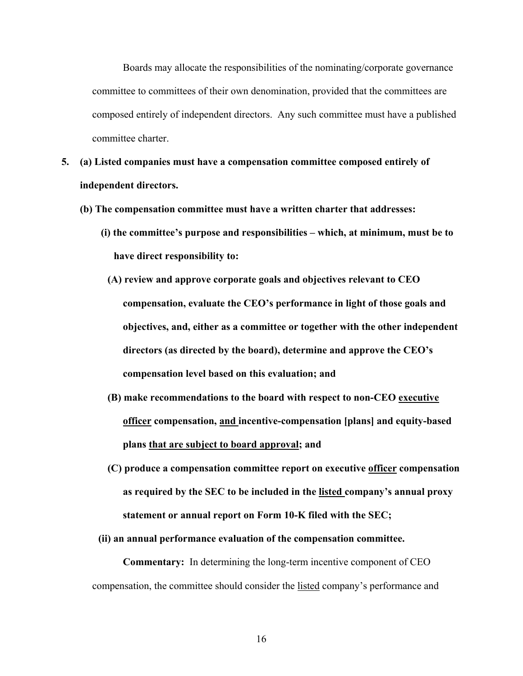Boards may allocate the responsibilities of the nominating/corporate governance committee to committees of their own denomination, provided that the committees are composed entirely of independent directors. Any such committee must have a published committee charter.

- **5. (a) Listed companies must have a compensation committee composed entirely of independent directors.** 
	- **(b) The compensation committee must have a written charter that addresses:** 
		- **(i) the committee's purpose and responsibilities which, at minimum, must be to have direct responsibility to:** 
			- **(A) review and approve corporate goals and objectives relevant to CEO compensation, evaluate the CEO's performance in light of those goals and objectives, and, either as a committee or together with the other independent directors (as directed by the board), determine and approve the CEO's compensation level based on this evaluation; and**
			- **(B) make recommendations to the board with respect to non-CEO executive officer compensation, and incentive-compensation [plans] and equity-based plans that are subject to board approval; and**
			- **(C) produce a compensation committee report on executive officer compensation as required by the SEC to be included in the listed company's annual proxy statement or annual report on Form 10-K filed with the SEC;**
		- **(ii) an annual performance evaluation of the compensation committee.**

 **Commentary:** In determining the long-term incentive component of CEO compensation, the committee should consider the listed company's performance and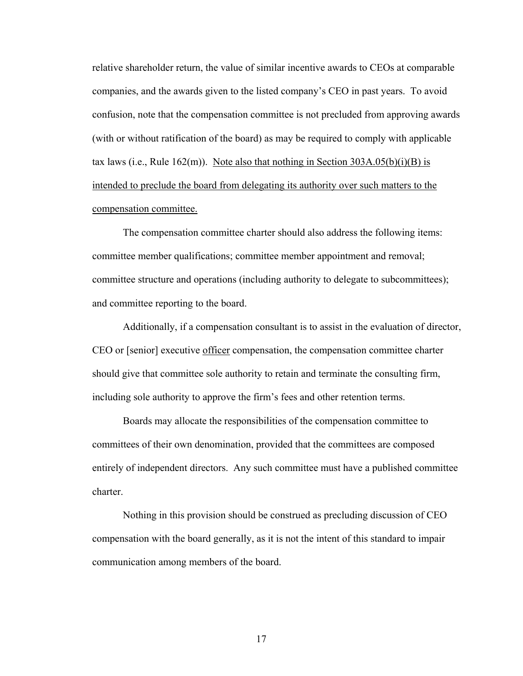relative shareholder return, the value of similar incentive awards to CEOs at comparable companies, and the awards given to the listed company's CEO in past years. To avoid confusion, note that the compensation committee is not precluded from approving awards (with or without ratification of the board) as may be required to comply with applicable tax laws (i.e., Rule  $162(m)$ ). Note also that nothing in Section  $303A.05(b)(i)(B)$  is intended to preclude the board from delegating its authority over such matters to the compensation committee.

The compensation committee charter should also address the following items: committee member qualifications; committee member appointment and removal; committee structure and operations (including authority to delegate to subcommittees); and committee reporting to the board.

Additionally, if a compensation consultant is to assist in the evaluation of director, CEO or [senior] executive officer compensation, the compensation committee charter should give that committee sole authority to retain and terminate the consulting firm, including sole authority to approve the firm's fees and other retention terms.

Boards may allocate the responsibilities of the compensation committee to committees of their own denomination, provided that the committees are composed entirely of independent directors. Any such committee must have a published committee charter.

Nothing in this provision should be construed as precluding discussion of CEO compensation with the board generally, as it is not the intent of this standard to impair communication among members of the board.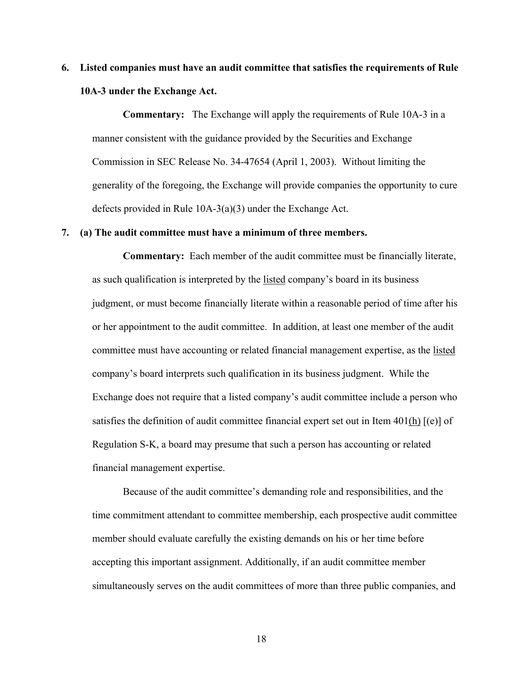**6. Listed companies must have an audit committee that satisfies the requirements of Rule 10A-3 under the Exchange Act.** 

 **Commentary:** The Exchange will apply the requirements of Rule 10A-3 in a manner consistent with the guidance provided by the Securities and Exchange Commission in SEC Release No. 34-47654 (April 1, 2003). Without limiting the generality of the foregoing, the Exchange will provide companies the opportunity to cure defects provided in Rule 10A-3(a)(3) under the Exchange Act.

#### **7. (a) The audit committee must have a minimum of three members.**

 **Commentary:** Each member of the audit committee must be financially literate, as such qualification is interpreted by the listed company's board in its business judgment, or must become financially literate within a reasonable period of time after his or her appointment to the audit committee. In addition, at least one member of the audit committee must have accounting or related financial management expertise, as the listed company's board interprets such qualification in its business judgment. While the Exchange does not require that a listed company's audit committee include a person who satisfies the definition of audit committee financial expert set out in Item  $401(h)$  [(e)] of Regulation S-K, a board may presume that such a person has accounting or related financial management expertise.

Because of the audit committee's demanding role and responsibilities, and the time commitment attendant to committee membership, each prospective audit committee member should evaluate carefully the existing demands on his or her time before accepting this important assignment. Additionally, if an audit committee member simultaneously serves on the audit committees of more than three public companies, and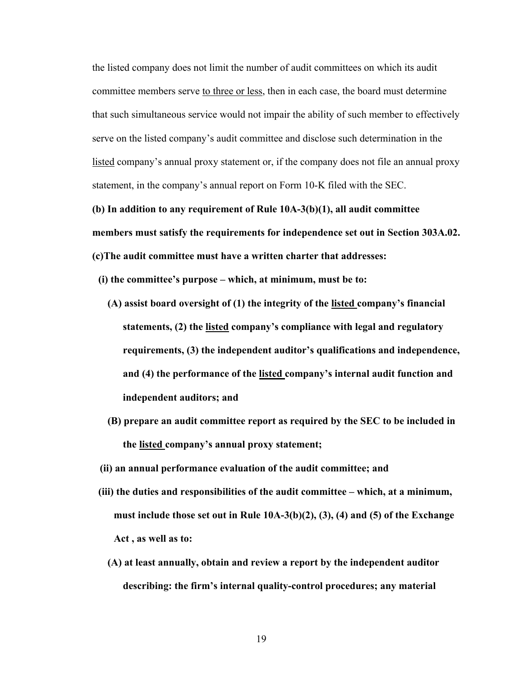the listed company does not limit the number of audit committees on which its audit committee members serve to three or less, then in each case, the board must determine that such simultaneous service would not impair the ability of such member to effectively serve on the listed company's audit committee and disclose such determination in the listed company's annual proxy statement or, if the company does not file an annual proxy statement, in the company's annual report on Form 10-K filed with the SEC.

**(b) In addition to any requirement of Rule 10A-3(b)(1), all audit committee** 

**members must satisfy the requirements for independence set out in Section 303A.02.** 

**(c)The audit committee must have a written charter that addresses:** 

- **(i) the committee's purpose which, at minimum, must be to:** 
	- **(A) assist board oversight of (1) the integrity of the listed company's financial statements, (2) the listed company's compliance with legal and regulatory requirements, (3) the independent auditor's qualifications and independence, and (4) the performance of the listed company's internal audit function and independent auditors; and**
	- **(B) prepare an audit committee report as required by the SEC to be included in the listed company's annual proxy statement;**
- **(ii) an annual performance evaluation of the audit committee; and**
- **(iii) the duties and responsibilities of the audit committee which, at a minimum, must include those set out in Rule 10A-3(b)(2), (3), (4) and (5) of the Exchange Act , as well as to:** 
	- **(A) at least annually, obtain and review a report by the independent auditor describing: the firm's internal quality-control procedures; any material**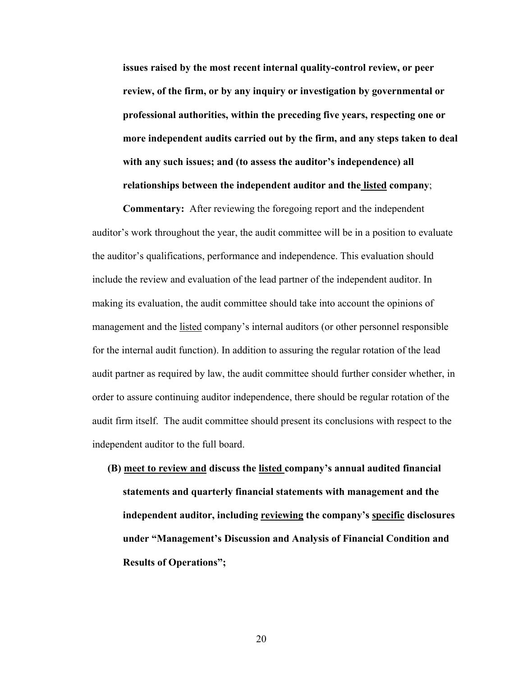**issues raised by the most recent internal quality-control review, or peer review, of the firm, or by any inquiry or investigation by governmental or professional authorities, within the preceding five years, respecting one or more independent audits carried out by the firm, and any steps taken to deal with any such issues; and (to assess the auditor's independence) all relationships between the independent auditor and the listed company**;

 **Commentary:** After reviewing the foregoing report and the independent auditor's work throughout the year, the audit committee will be in a position to evaluate the auditor's qualifications, performance and independence. This evaluation should include the review and evaluation of the lead partner of the independent auditor. In making its evaluation, the audit committee should take into account the opinions of management and the listed company's internal auditors (or other personnel responsible for the internal audit function). In addition to assuring the regular rotation of the lead audit partner as required by law, the audit committee should further consider whether, in order to assure continuing auditor independence, there should be regular rotation of the audit firm itself. The audit committee should present its conclusions with respect to the independent auditor to the full board.

**(B) meet to review and discuss the listed company's annual audited financial statements and quarterly financial statements with management and the independent auditor, including reviewing the company's specific disclosures under "Management's Discussion and Analysis of Financial Condition and Results of Operations";**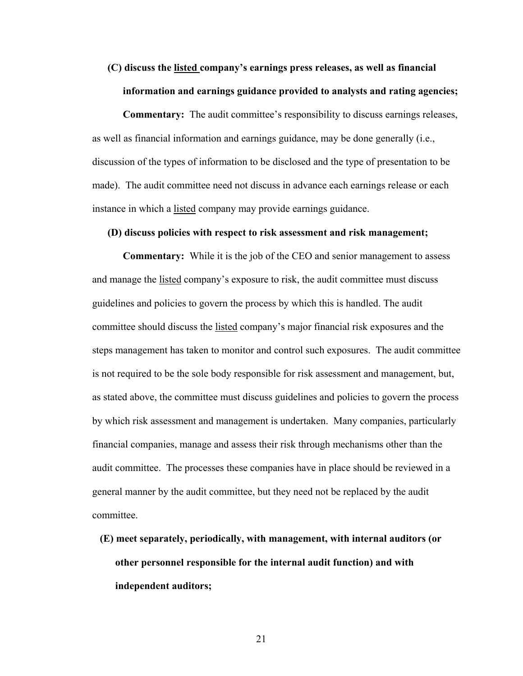# **(C) discuss the listed company's earnings press releases, as well as financial information and earnings guidance provided to analysts and rating agencies;**

 **Commentary:** The audit committee's responsibility to discuss earnings releases, as well as financial information and earnings guidance, may be done generally (i.e., discussion of the types of information to be disclosed and the type of presentation to be made). The audit committee need not discuss in advance each earnings release or each instance in which a listed company may provide earnings guidance.

#### **(D) discuss policies with respect to risk assessment and risk management;**

 **Commentary:** While it is the job of the CEO and senior management to assess and manage the listed company's exposure to risk, the audit committee must discuss guidelines and policies to govern the process by which this is handled. The audit committee should discuss the listed company's major financial risk exposures and the steps management has taken to monitor and control such exposures. The audit committee is not required to be the sole body responsible for risk assessment and management, but, as stated above, the committee must discuss guidelines and policies to govern the process by which risk assessment and management is undertaken. Many companies, particularly financial companies, manage and assess their risk through mechanisms other than the audit committee. The processes these companies have in place should be reviewed in a general manner by the audit committee, but they need not be replaced by the audit committee.

**(E) meet separately, periodically, with management, with internal auditors (or other personnel responsible for the internal audit function) and with independent auditors;**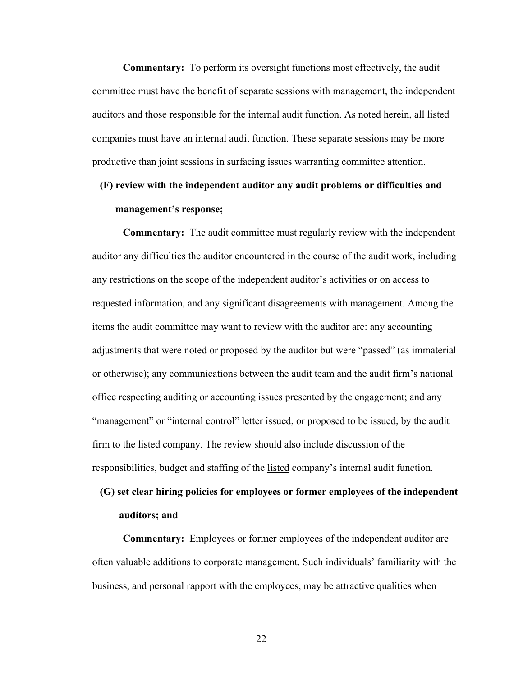**Commentary:** To perform its oversight functions most effectively, the audit committee must have the benefit of separate sessions with management, the independent auditors and those responsible for the internal audit function. As noted herein, all listed companies must have an internal audit function. These separate sessions may be more productive than joint sessions in surfacing issues warranting committee attention.

# **(F) review with the independent auditor any audit problems or difficulties and management's response;**

 **Commentary:** The audit committee must regularly review with the independent auditor any difficulties the auditor encountered in the course of the audit work, including any restrictions on the scope of the independent auditor's activities or on access to requested information, and any significant disagreements with management. Among the items the audit committee may want to review with the auditor are: any accounting adjustments that were noted or proposed by the auditor but were "passed" (as immaterial or otherwise); any communications between the audit team and the audit firm's national office respecting auditing or accounting issues presented by the engagement; and any "management" or "internal control" letter issued, or proposed to be issued, by the audit firm to the listed company. The review should also include discussion of the responsibilities, budget and staffing of the listed company's internal audit function.

# **(G) set clear hiring policies for employees or former employees of the independent auditors; and**

 **Commentary:** Employees or former employees of the independent auditor are often valuable additions to corporate management. Such individuals' familiarity with the business, and personal rapport with the employees, may be attractive qualities when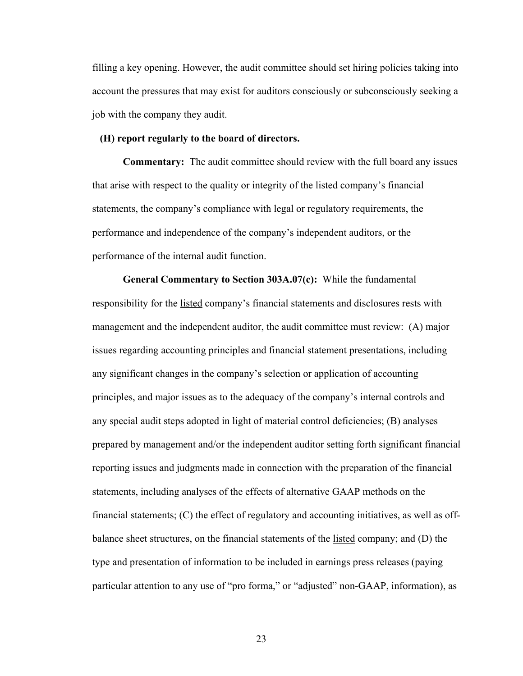filling a key opening. However, the audit committee should set hiring policies taking into account the pressures that may exist for auditors consciously or subconsciously seeking a job with the company they audit.

#### **(H) report regularly to the board of directors.**

 **Commentary:** The audit committee should review with the full board any issues that arise with respect to the quality or integrity of the listed company's financial statements, the company's compliance with legal or regulatory requirements, the performance and independence of the company's independent auditors, or the performance of the internal audit function.

**General Commentary to Section 303A.07(c):** While the fundamental responsibility for the listed company's financial statements and disclosures rests with management and the independent auditor, the audit committee must review: (A) major issues regarding accounting principles and financial statement presentations, including any significant changes in the company's selection or application of accounting principles, and major issues as to the adequacy of the company's internal controls and any special audit steps adopted in light of material control deficiencies; (B) analyses prepared by management and/or the independent auditor setting forth significant financial reporting issues and judgments made in connection with the preparation of the financial statements, including analyses of the effects of alternative GAAP methods on the financial statements; (C) the effect of regulatory and accounting initiatives, as well as offbalance sheet structures, on the financial statements of the listed company; and (D) the type and presentation of information to be included in earnings press releases (paying particular attention to any use of "pro forma," or "adjusted" non-GAAP, information), as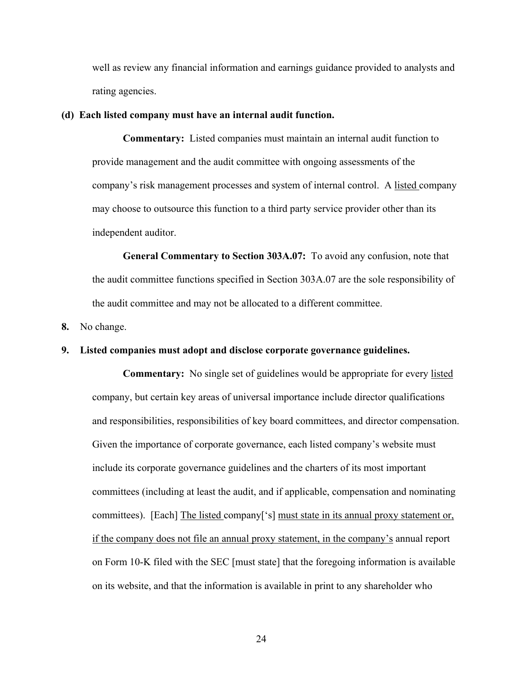well as review any financial information and earnings guidance provided to analysts and rating agencies.

#### **(d) Each listed company must have an internal audit function.**

 **Commentary:** Listed companies must maintain an internal audit function to provide management and the audit committee with ongoing assessments of the company's risk management processes and system of internal control. A listed company may choose to outsource this function to a third party service provider other than its independent auditor.

**General Commentary to Section 303A.07:** To avoid any confusion, note that the audit committee functions specified in Section 303A.07 are the sole responsibility of the audit committee and may not be allocated to a different committee.

**8.** No change.

#### **9. Listed companies must adopt and disclose corporate governance guidelines.**

**Commentary:** No single set of guidelines would be appropriate for every <u>listed</u> company, but certain key areas of universal importance include director qualifications and responsibilities, responsibilities of key board committees, and director compensation. Given the importance of corporate governance, each listed company's website must include its corporate governance guidelines and the charters of its most important committees (including at least the audit, and if applicable, compensation and nominating committees). [Each] The listed company['s] must state in its annual proxy statement or, if the company does not file an annual proxy statement, in the company's annual report on Form 10-K filed with the SEC [must state] that the foregoing information is available on its website, and that the information is available in print to any shareholder who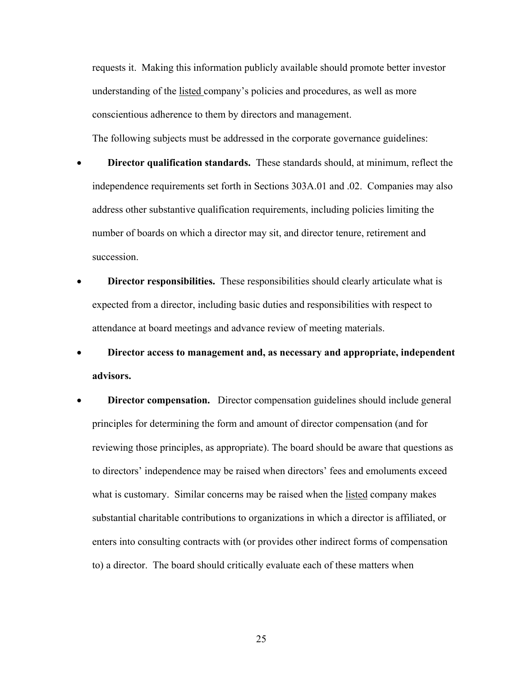requests it. Making this information publicly available should promote better investor understanding of the listed company's policies and procedures, as well as more conscientious adherence to them by directors and management.

The following subjects must be addressed in the corporate governance guidelines:

- **Director qualification standards.** These standards should, at minimum, reflect the independence requirements set forth in Sections 303A.01 and .02. Companies may also address other substantive qualification requirements, including policies limiting the number of boards on which a director may sit, and director tenure, retirement and succession.
- **Director responsibilities.** These responsibilities should clearly articulate what is expected from a director, including basic duties and responsibilities with respect to attendance at board meetings and advance review of meeting materials.
- **Director access to management and, as necessary and appropriate, independent advisors.**
- **Director compensation.** Director compensation guidelines should include general principles for determining the form and amount of director compensation (and for reviewing those principles, as appropriate). The board should be aware that questions as to directors' independence may be raised when directors' fees and emoluments exceed what is customary. Similar concerns may be raised when the listed company makes substantial charitable contributions to organizations in which a director is affiliated, or enters into consulting contracts with (or provides other indirect forms of compensation to) a director. The board should critically evaluate each of these matters when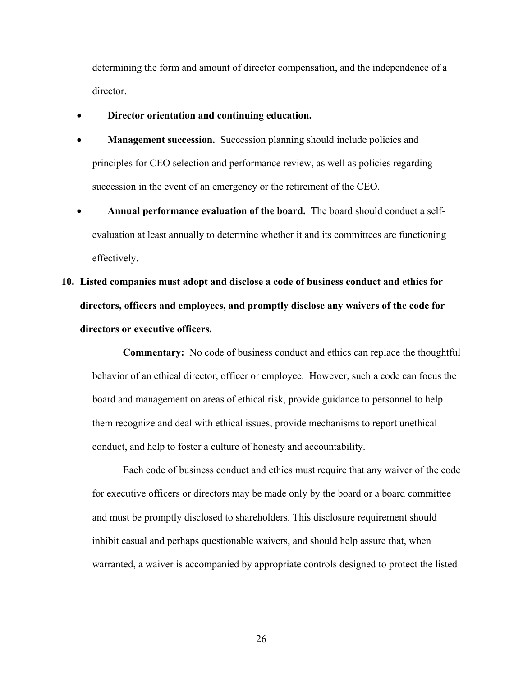determining the form and amount of director compensation, and the independence of a director.

- **Director orientation and continuing education.**
- **Management succession.** Succession planning should include policies and principles for CEO selection and performance review, as well as policies regarding succession in the event of an emergency or the retirement of the CEO.
- **Annual performance evaluation of the board.** The board should conduct a selfevaluation at least annually to determine whether it and its committees are functioning effectively.
- **10. Listed companies must adopt and disclose a code of business conduct and ethics for directors, officers and employees, and promptly disclose any waivers of the code for directors or executive officers.**

 **Commentary:** No code of business conduct and ethics can replace the thoughtful behavior of an ethical director, officer or employee. However, such a code can focus the board and management on areas of ethical risk, provide guidance to personnel to help them recognize and deal with ethical issues, provide mechanisms to report unethical conduct, and help to foster a culture of honesty and accountability.

Each code of business conduct and ethics must require that any waiver of the code for executive officers or directors may be made only by the board or a board committee and must be promptly disclosed to shareholders. This disclosure requirement should inhibit casual and perhaps questionable waivers, and should help assure that, when warranted, a waiver is accompanied by appropriate controls designed to protect the listed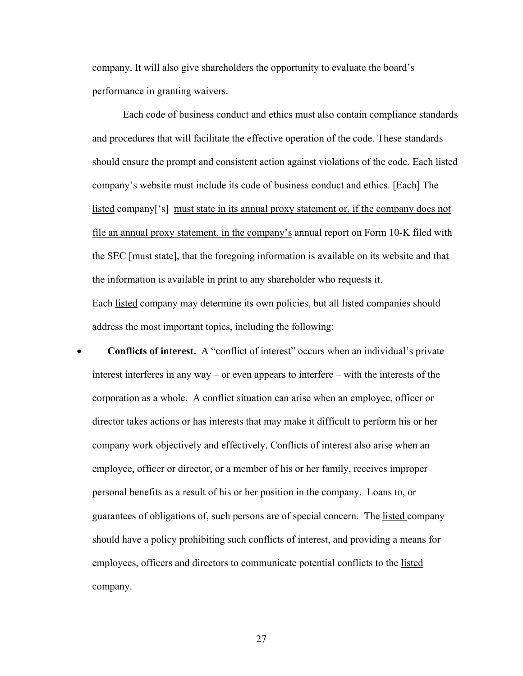company. It will also give shareholders the opportunity to evaluate the board's performance in granting waivers.

Each code of business conduct and ethics must also contain compliance standards and procedures that will facilitate the effective operation of the code. These standards should ensure the prompt and consistent action against violations of the code. Each listed company's website must include its code of business conduct and ethics. [Each] The listed company['s] must state in its annual proxy statement or, if the company does not file an annual proxy statement, in the company's annual report on Form 10-K filed with the SEC [must state], that the foregoing information is available on its website and that the information is available in print to any shareholder who requests it.

Each listed company may determine its own policies, but all listed companies should address the most important topics, including the following:

• **Conflicts of interest.** A "conflict of interest" occurs when an individual's private interest interferes in any way – or even appears to interfere – with the interests of the corporation as a whole. A conflict situation can arise when an employee, officer or director takes actions or has interests that may make it difficult to perform his or her company work objectively and effectively. Conflicts of interest also arise when an employee, officer or director, or a member of his or her family, receives improper personal benefits as a result of his or her position in the company. Loans to, or guarantees of obligations of, such persons are of special concern. The listed company should have a policy prohibiting such conflicts of interest, and providing a means for employees, officers and directors to communicate potential conflicts to the listed company.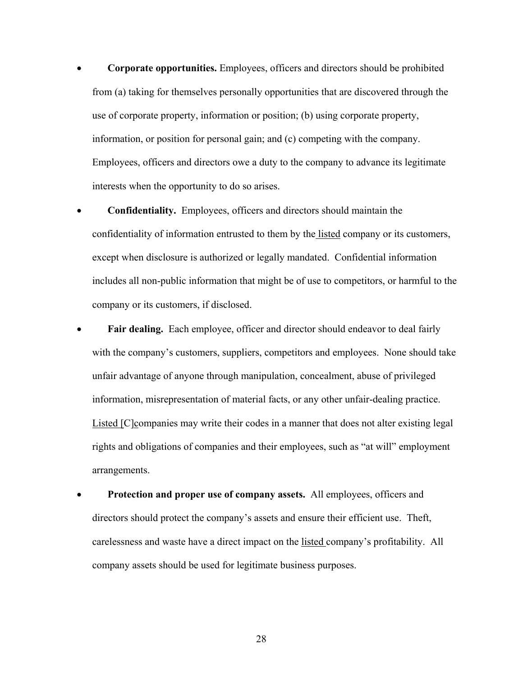- **Corporate opportunities.** Employees, officers and directors should be prohibited from (a) taking for themselves personally opportunities that are discovered through the use of corporate property, information or position; (b) using corporate property, information, or position for personal gain; and (c) competing with the company. Employees, officers and directors owe a duty to the company to advance its legitimate interests when the opportunity to do so arises.
- **Confidentiality.** Employees, officers and directors should maintain the confidentiality of information entrusted to them by the listed company or its customers, except when disclosure is authorized or legally mandated. Confidential information includes all non-public information that might be of use to competitors, or harmful to the company or its customers, if disclosed.
- **Fair dealing.** Each employee, officer and director should endeavor to deal fairly with the company's customers, suppliers, competitors and employees. None should take unfair advantage of anyone through manipulation, concealment, abuse of privileged information, misrepresentation of material facts, or any other unfair-dealing practice. Listed [C]companies may write their codes in a manner that does not alter existing legal rights and obligations of companies and their employees, such as "at will" employment arrangements.
- **Protection and proper use of company assets.** All employees, officers and directors should protect the company's assets and ensure their efficient use. Theft, carelessness and waste have a direct impact on the listed company's profitability. All company assets should be used for legitimate business purposes.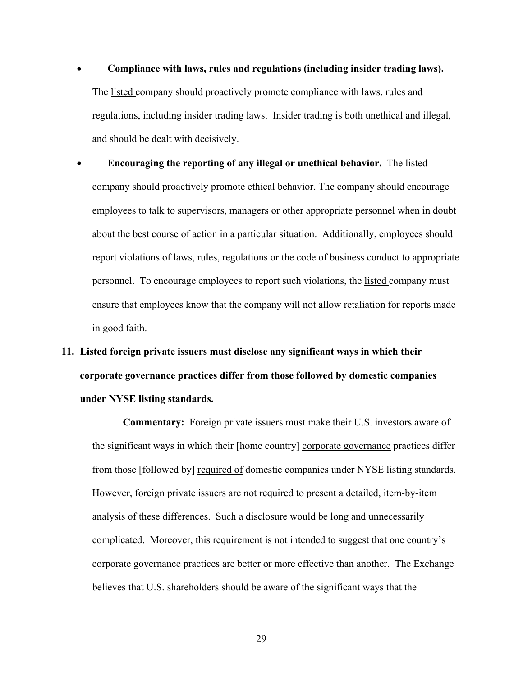- **Compliance with laws, rules and regulations (including insider trading laws).**  The listed company should proactively promote compliance with laws, rules and regulations, including insider trading laws. Insider trading is both unethical and illegal, and should be dealt with decisively.
- **Encouraging the reporting of any illegal or unethical behavior.** The listed company should proactively promote ethical behavior. The company should encourage employees to talk to supervisors, managers or other appropriate personnel when in doubt about the best course of action in a particular situation. Additionally, employees should report violations of laws, rules, regulations or the code of business conduct to appropriate personnel. To encourage employees to report such violations, the listed company must ensure that employees know that the company will not allow retaliation for reports made in good faith.

# **11. Listed foreign private issuers must disclose any significant ways in which their corporate governance practices differ from those followed by domestic companies under NYSE listing standards.**

 **Commentary:** Foreign private issuers must make their U.S. investors aware of the significant ways in which their [home country] corporate governance practices differ from those [followed by] required of domestic companies under NYSE listing standards. However, foreign private issuers are not required to present a detailed, item-by-item analysis of these differences. Such a disclosure would be long and unnecessarily complicated. Moreover, this requirement is not intended to suggest that one country's corporate governance practices are better or more effective than another. The Exchange believes that U.S. shareholders should be aware of the significant ways that the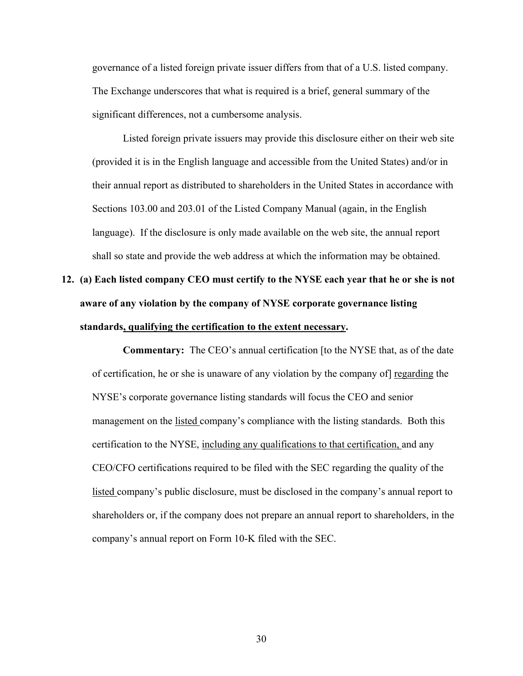governance of a listed foreign private issuer differs from that of a U.S. listed company. The Exchange underscores that what is required is a brief, general summary of the significant differences, not a cumbersome analysis.

Listed foreign private issuers may provide this disclosure either on their web site (provided it is in the English language and accessible from the United States) and/or in their annual report as distributed to shareholders in the United States in accordance with Sections 103.00 and 203.01 of the Listed Company Manual (again, in the English language). If the disclosure is only made available on the web site, the annual report shall so state and provide the web address at which the information may be obtained.

**12. (a) Each listed company CEO must certify to the NYSE each year that he or she is not aware of any violation by the company of NYSE corporate governance listing standards, qualifying the certification to the extent necessary.** 

 **Commentary:** The CEO's annual certification [to the NYSE that, as of the date of certification, he or she is unaware of any violation by the company of] regarding the NYSE's corporate governance listing standards will focus the CEO and senior management on the listed company's compliance with the listing standards. Both this certification to the NYSE, including any qualifications to that certification, and any CEO/CFO certifications required to be filed with the SEC regarding the quality of the listed company's public disclosure, must be disclosed in the company's annual report to shareholders or, if the company does not prepare an annual report to shareholders, in the company's annual report on Form 10-K filed with the SEC.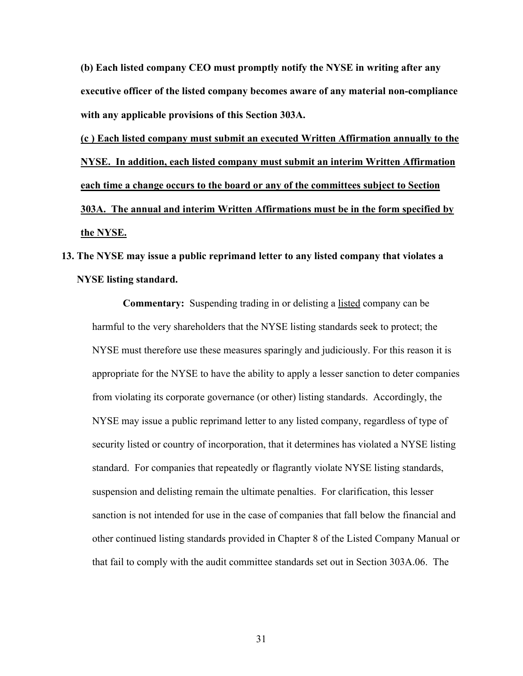**(b) Each listed company CEO must promptly notify the NYSE in writing after any executive officer of the listed company becomes aware of any material non-compliance with any applicable provisions of this Section 303A.** 

**(c ) Each listed company must submit an executed Written Affirmation annually to the NYSE. In addition, each listed company must submit an interim Written Affirmation each time a change occurs to the board or any of the committees subject to Section 303A. The annual and interim Written Affirmations must be in the form specified by the NYSE.**

**13. The NYSE may issue a public reprimand letter to any listed company that violates a NYSE listing standard.**

 **Commentary:** Suspending trading in or delisting a listed company can be harmful to the very shareholders that the NYSE listing standards seek to protect; the NYSE must therefore use these measures sparingly and judiciously. For this reason it is appropriate for the NYSE to have the ability to apply a lesser sanction to deter companies from violating its corporate governance (or other) listing standards. Accordingly, the NYSE may issue a public reprimand letter to any listed company, regardless of type of security listed or country of incorporation, that it determines has violated a NYSE listing standard. For companies that repeatedly or flagrantly violate NYSE listing standards, suspension and delisting remain the ultimate penalties. For clarification, this lesser sanction is not intended for use in the case of companies that fall below the financial and other continued listing standards provided in Chapter 8 of the Listed Company Manual or that fail to comply with the audit committee standards set out in Section 303A.06. The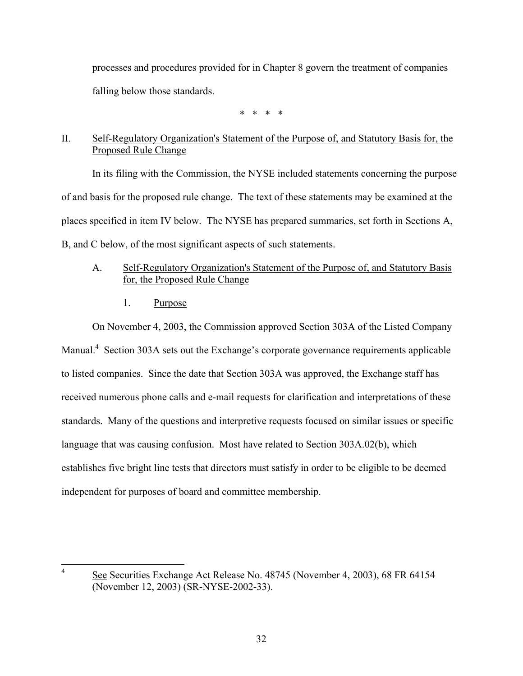processes and procedures provided for in Chapter 8 govern the treatment of companies falling below those standards.

\* \* \* \*

# II. Self-Regulatory Organization's Statement of the Purpose of, and Statutory Basis for, the Proposed Rule Change

In its filing with the Commission, the NYSE included statements concerning the purpose of and basis for the proposed rule change. The text of these statements may be examined at the places specified in item IV below. The NYSE has prepared summaries, set forth in Sections A, B, and C below, of the most significant aspects of such statements.

## A. Self-Regulatory Organization's Statement of the Purpose of, and Statutory Basis for, the Proposed Rule Change

1. Purpose

On November 4, 2003, the Commission approved Section 303A of the Listed Company Manual.<sup>[4](#page-31-0)</sup> Section 303A sets out the Exchange's corporate governance requirements applicable to listed companies. Since the date that Section 303A was approved, the Exchange staff has received numerous phone calls and e-mail requests for clarification and interpretations of these standards. Many of the questions and interpretive requests focused on similar issues or specific language that was causing confusion. Most have related to Section 303A.02(b), which establishes five bright line tests that directors must satisfy in order to be eligible to be deemed independent for purposes of board and committee membership.

<span id="page-31-0"></span> $\frac{1}{4}$  See Securities Exchange Act Release No. 48745 (November 4, 2003), 68 FR 64154 (November 12, 2003) (SR-NYSE-2002-33).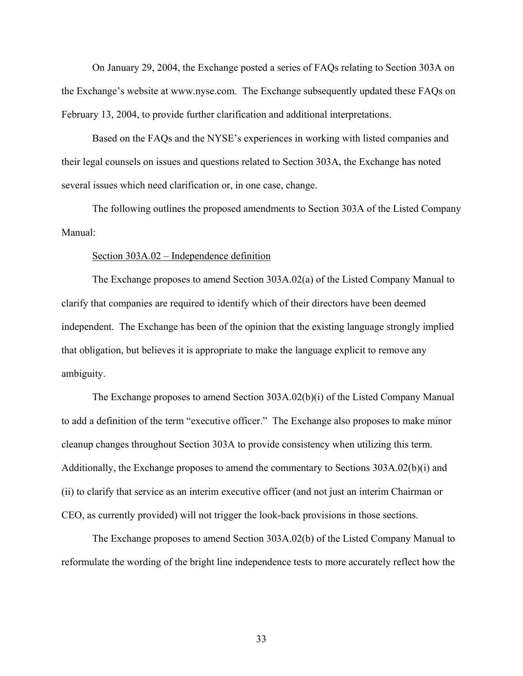On January 29, 2004, the Exchange posted a series of FAQs relating to Section 303A on the Exchange's website at www.nyse.com. The Exchange subsequently updated these FAQs on February 13, 2004, to provide further clarification and additional interpretations.

Based on the FAQs and the NYSE's experiences in working with listed companies and their legal counsels on issues and questions related to Section 303A, the Exchange has noted several issues which need clarification or, in one case, change.

The following outlines the proposed amendments to Section 303A of the Listed Company Manual:

#### Section 303A.02 – Independence definition

The Exchange proposes to amend Section 303A.02(a) of the Listed Company Manual to clarify that companies are required to identify which of their directors have been deemed independent. The Exchange has been of the opinion that the existing language strongly implied that obligation, but believes it is appropriate to make the language explicit to remove any ambiguity.

The Exchange proposes to amend Section 303A.02(b)(i) of the Listed Company Manual to add a definition of the term "executive officer." The Exchange also proposes to make minor cleanup changes throughout Section 303A to provide consistency when utilizing this term. Additionally, the Exchange proposes to amend the commentary to Sections 303A.02(b)(i) and (ii) to clarify that service as an interim executive officer (and not just an interim Chairman or CEO, as currently provided) will not trigger the look-back provisions in those sections.

The Exchange proposes to amend Section 303A.02(b) of the Listed Company Manual to reformulate the wording of the bright line independence tests to more accurately reflect how the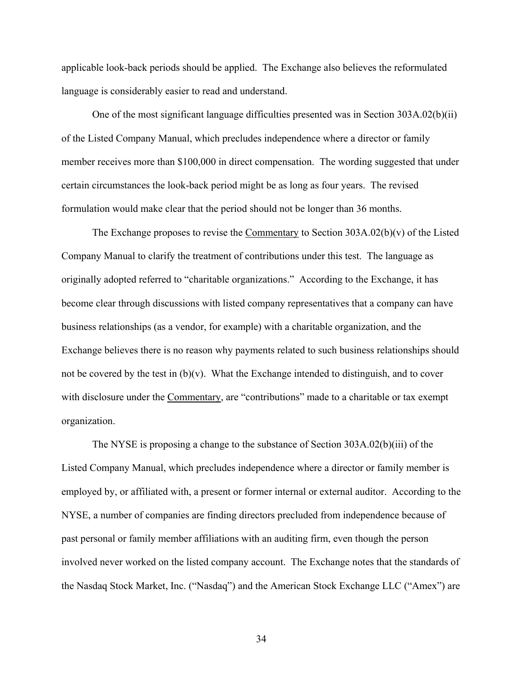applicable look-back periods should be applied. The Exchange also believes the reformulated language is considerably easier to read and understand.

One of the most significant language difficulties presented was in Section 303A.02(b)(ii) of the Listed Company Manual, which precludes independence where a director or family member receives more than \$100,000 in direct compensation. The wording suggested that under certain circumstances the look-back period might be as long as four years. The revised formulation would make clear that the period should not be longer than 36 months.

The Exchange proposes to revise the Commentary to Section 303A.02(b)(v) of the Listed Company Manual to clarify the treatment of contributions under this test. The language as originally adopted referred to "charitable organizations." According to the Exchange, it has become clear through discussions with listed company representatives that a company can have business relationships (as a vendor, for example) with a charitable organization, and the Exchange believes there is no reason why payments related to such business relationships should not be covered by the test in  $(b)(v)$ . What the Exchange intended to distinguish, and to cover with disclosure under the Commentary, are "contributions" made to a charitable or tax exempt organization.

The NYSE is proposing a change to the substance of Section 303A.02(b)(iii) of the Listed Company Manual, which precludes independence where a director or family member is employed by, or affiliated with, a present or former internal or external auditor. According to the NYSE, a number of companies are finding directors precluded from independence because of past personal or family member affiliations with an auditing firm, even though the person involved never worked on the listed company account. The Exchange notes that the standards of the Nasdaq Stock Market, Inc. ("Nasdaq") and the American Stock Exchange LLC ("Amex") are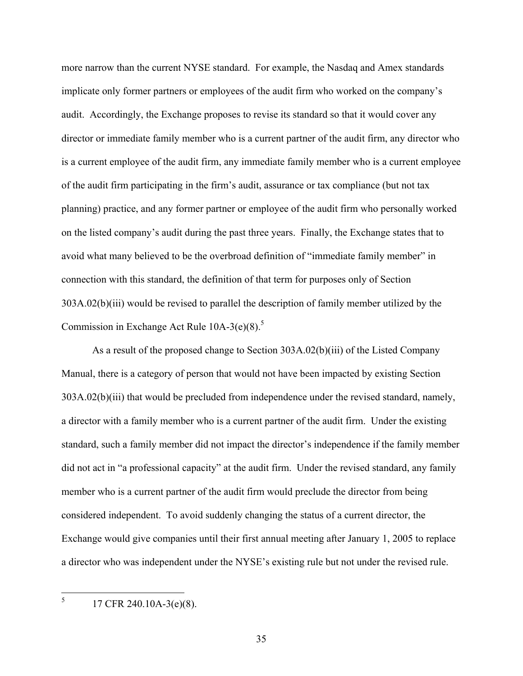more narrow than the current NYSE standard. For example, the Nasdaq and Amex standards implicate only former partners or employees of the audit firm who worked on the company's audit. Accordingly, the Exchange proposes to revise its standard so that it would cover any director or immediate family member who is a current partner of the audit firm, any director who is a current employee of the audit firm, any immediate family member who is a current employee of the audit firm participating in the firm's audit, assurance or tax compliance (but not tax planning) practice, and any former partner or employee of the audit firm who personally worked on the listed company's audit during the past three years. Finally, the Exchange states that to avoid what many believed to be the overbroad definition of "immediate family member" in connection with this standard, the definition of that term for purposes only of Section 303A.02(b)(iii) would be revised to parallel the description of family member utilized by the Commission in Exchange Act Rule  $10A-3(e)(8)^5$ 

As a result of the proposed change to Section 303A.02(b)(iii) of the Listed Company Manual, there is a category of person that would not have been impacted by existing Section 303A.02(b)(iii) that would be precluded from independence under the revised standard, namely, a director with a family member who is a current partner of the audit firm. Under the existing standard, such a family member did not impact the director's independence if the family member did not act in "a professional capacity" at the audit firm. Under the revised standard, any family member who is a current partner of the audit firm would preclude the director from being considered independent. To avoid suddenly changing the status of a current director, the Exchange would give companies until their first annual meeting after January 1, 2005 to replace a director who was independent under the NYSE's existing rule but not under the revised rule.

<span id="page-34-0"></span> $\frac{1}{5}$ 17 CFR 240.10A-3(e)(8).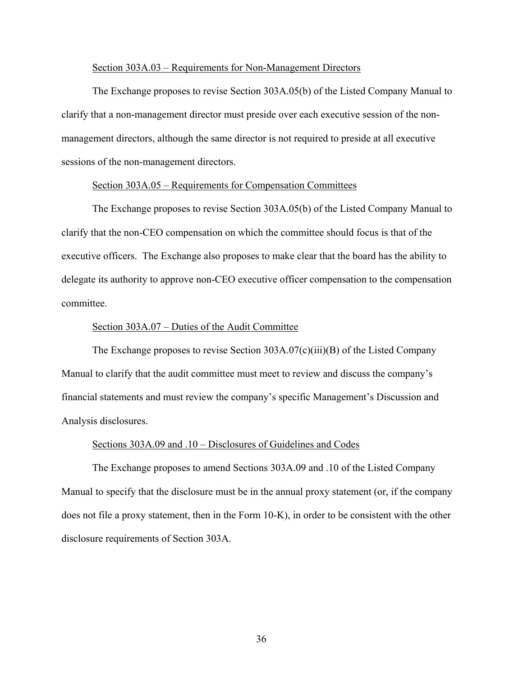#### Section 303A.03 – Requirements for Non-Management Directors

The Exchange proposes to revise Section 303A.05(b) of the Listed Company Manual to clarify that a non-management director must preside over each executive session of the nonmanagement directors, although the same director is not required to preside at all executive sessions of the non-management directors.

#### Section 303A.05 – Requirements for Compensation Committees

The Exchange proposes to revise Section 303A.05(b) of the Listed Company Manual to clarify that the non-CEO compensation on which the committee should focus is that of the executive officers. The Exchange also proposes to make clear that the board has the ability to delegate its authority to approve non-CEO executive officer compensation to the compensation committee.

#### Section 303A.07 – Duties of the Audit Committee

The Exchange proposes to revise Section 303A.07(c)(iii)(B) of the Listed Company Manual to clarify that the audit committee must meet to review and discuss the company's financial statements and must review the company's specific Management's Discussion and Analysis disclosures.

#### Sections 303A.09 and .10 – Disclosures of Guidelines and Codes

The Exchange proposes to amend Sections 303A.09 and .10 of the Listed Company Manual to specify that the disclosure must be in the annual proxy statement (or, if the company does not file a proxy statement, then in the Form 10-K), in order to be consistent with the other disclosure requirements of Section 303A.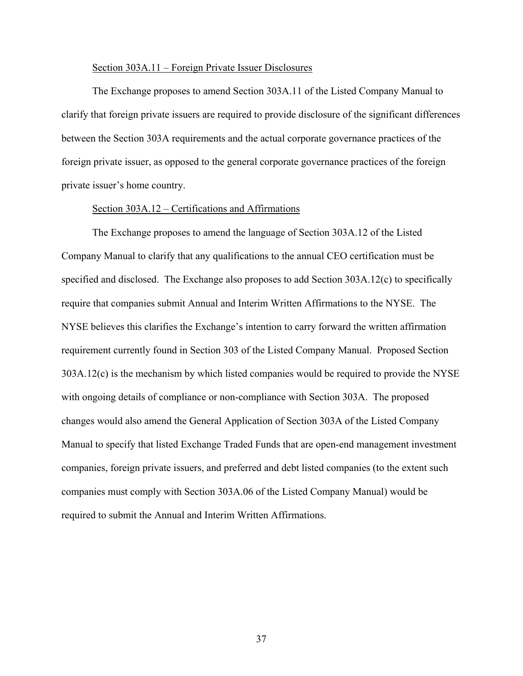#### Section 303A.11 – Foreign Private Issuer Disclosures

The Exchange proposes to amend Section 303A.11 of the Listed Company Manual to clarify that foreign private issuers are required to provide disclosure of the significant differences between the Section 303A requirements and the actual corporate governance practices of the foreign private issuer, as opposed to the general corporate governance practices of the foreign private issuer's home country.

#### Section 303A.12 – Certifications and Affirmations

The Exchange proposes to amend the language of Section 303A.12 of the Listed Company Manual to clarify that any qualifications to the annual CEO certification must be specified and disclosed. The Exchange also proposes to add Section 303A.12(c) to specifically require that companies submit Annual and Interim Written Affirmations to the NYSE. The NYSE believes this clarifies the Exchange's intention to carry forward the written affirmation requirement currently found in Section 303 of the Listed Company Manual. Proposed Section 303A.12(c) is the mechanism by which listed companies would be required to provide the NYSE with ongoing details of compliance or non-compliance with Section 303A. The proposed changes would also amend the General Application of Section 303A of the Listed Company Manual to specify that listed Exchange Traded Funds that are open-end management investment companies, foreign private issuers, and preferred and debt listed companies (to the extent such companies must comply with Section 303A.06 of the Listed Company Manual) would be required to submit the Annual and Interim Written Affirmations.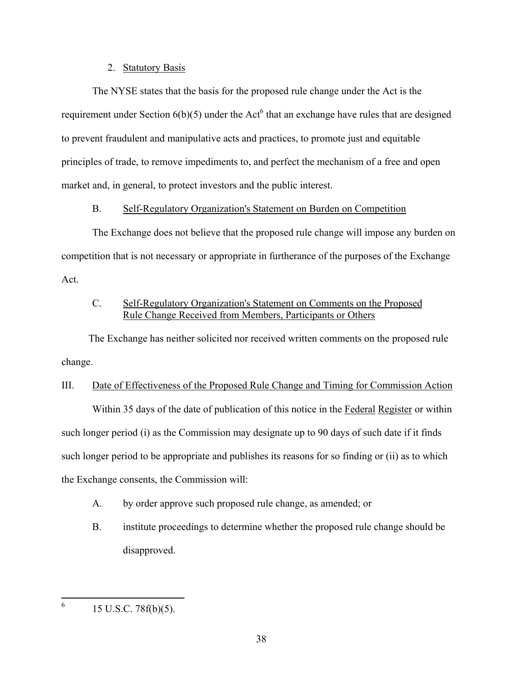#### 2. Statutory Basis

The NYSE states that the basis for the proposed rule change under the Act is the requirement under Section  $6(b)(5)$  $6(b)(5)$  under the Act<sup>6</sup> that an exchange have rules that are designed to prevent fraudulent and manipulative acts and practices, to promote just and equitable principles of trade, to remove impediments to, and perfect the mechanism of a free and open market and, in general, to protect investors and the public interest.

## B. Self-Regulatory Organization's Statement on Burden on Competition

The Exchange does not believe that the proposed rule change will impose any burden on competition that is not necessary or appropriate in furtherance of the purposes of the Exchange Act.

### C. Self-Regulatory Organization's Statement on Comments on the Proposed Rule Change Received from Members, Participants or Others

The Exchange has neither solicited nor received written comments on the proposed rule change.

# III. Date of Effectiveness of the Proposed Rule Change and Timing for Commission Action

Within 35 days of the date of publication of this notice in the Federal Register or within such longer period (i) as the Commission may designate up to 90 days of such date if it finds such longer period to be appropriate and publishes its reasons for so finding or (ii) as to which the Exchange consents, the Commission will:

- A. by order approve such proposed rule change, as amended; or
- B. institute proceedings to determine whether the proposed rule change should be disapproved.

<span id="page-37-0"></span> 6 15 U.S.C. 78f(b)(5).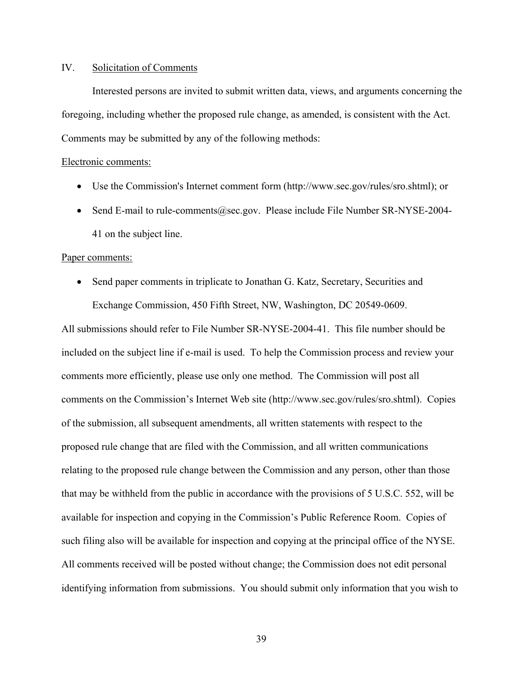#### IV. Solicitation of Comments

Interested persons are invited to submit written data, views, and arguments concerning the foregoing, including whether the proposed rule change, as amended, is consistent with the Act. Comments may be submitted by any of the following methods:

#### Electronic comments:

- Use the Commission's Internet comment form (http://www.sec.gov/rules/sro.shtml); or
- Send E-mail to rule-comments@sec.gov. Please include File Number SR-NYSE-2004-41 on the subject line.

#### Paper comments:

• Send paper comments in triplicate to Jonathan G. Katz, Secretary, Securities and Exchange Commission, 450 Fifth Street, NW, Washington, DC 20549-0609.

All submissions should refer to File Number SR-NYSE-2004-41. This file number should be included on the subject line if e-mail is used. To help the Commission process and review your comments more efficiently, please use only one method. The Commission will post all comments on the Commission's Internet Web site (http://www.sec.gov/rules/sro.shtml). Copies of the submission, all subsequent amendments, all written statements with respect to the proposed rule change that are filed with the Commission, and all written communications relating to the proposed rule change between the Commission and any person, other than those that may be withheld from the public in accordance with the provisions of 5 U.S.C. 552, will be available for inspection and copying in the Commission's Public Reference Room. Copies of such filing also will be available for inspection and copying at the principal office of the NYSE. All comments received will be posted without change; the Commission does not edit personal identifying information from submissions. You should submit only information that you wish to